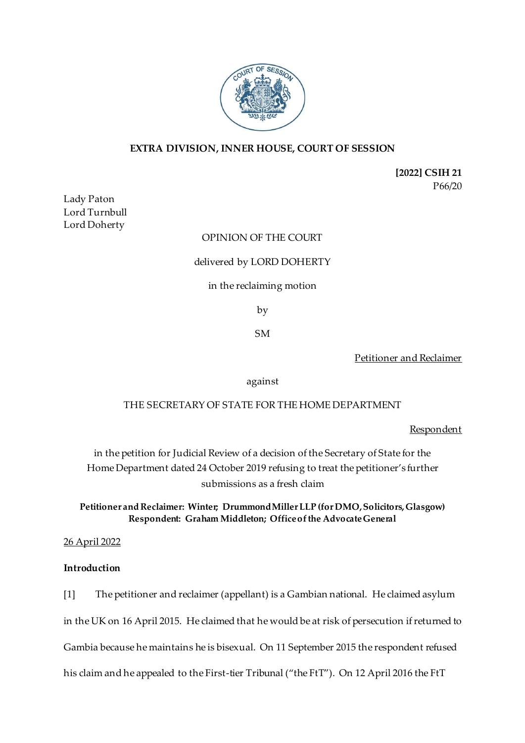

# **EXTRA DIVISION, INNER HOUSE, COURT OF SESSION**

**[2022] CSIH 21** P66/20

Lady Paton Lord Turnbull Lord Doherty

# OPINION OF THE COURT

### delivered by LORD DOHERTY

### in the reclaiming motion

by

SM

Petitioner and Reclaimer

against

# THE SECRETARY OF STATE FOR THE HOME DEPARTMENT

**Respondent** 

in the petition for Judicial Review of a decision of the Secretary of State for the Home Department dated 24 October 2019 refusing to treat the petitioner's further submissions as a fresh claim

**Petitioner and Reclaimer: Winter; Drummond Miller LLP (for DMO, Solicitors, Glasgow) Respondent: Graham Middleton; Office of the Advocate General**

#### 26 April 2022

### **Introduction**

[1] The petitioner and reclaimer (appellant) is a Gambian national. He claimed asylum in the UK on 16 April 2015. He claimed that he would be at risk of persecution if returned to Gambia because he maintains he is bisexual. On 11 September 2015 the respondent refused his claim and he appealed to the First-tier Tribunal ("the FtT"). On 12 April 2016 the FtT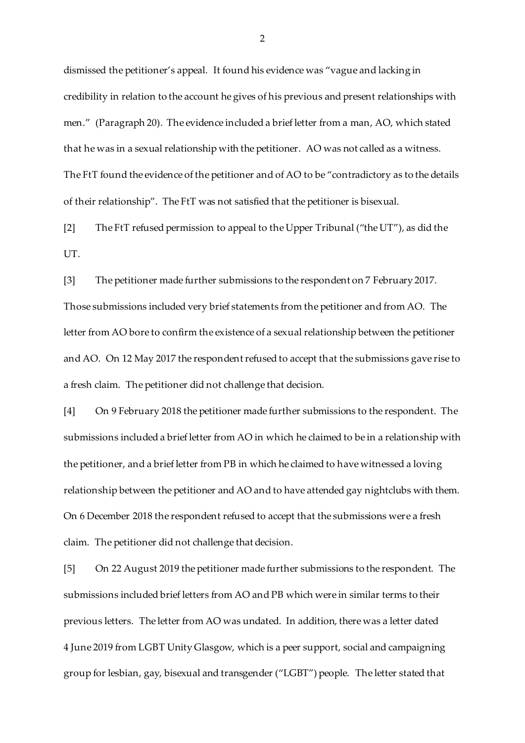dismissed the petitioner's appeal. It found his evidence was "vague and lacking in credibility in relation to the account he gives of his previous and present relationships with men." (Paragraph 20). The evidence included a brief letter from a man, AO, which stated that he was in a sexual relationship with the petitioner. AO was not called as a witness. The FtT found the evidence of the petitioner and of AO to be "contradictory as to the details of their relationship". The FtT was not satisfied that the petitioner is bisexual.

[2] The FtT refused permission to appeal to the Upper Tribunal ("the UT"), as did the UT.

[3] The petitioner made further submissions to the respondent on 7 February 2017. Those submissions included very brief statements from the petitioner and from AO. The letter from AO bore to confirm the existence of a sexual relationship between the petitioner and AO. On 12 May 2017 the respondent refused to accept that the submissions gave rise to a fresh claim. The petitioner did not challenge that decision.

[4] On 9 February 2018 the petitioner made further submissions to the respondent. The submissions included a brief letter from AO in which he claimed to be in a relationship with the petitioner, and a brief letter from PB in which he claimed to have witnessed a loving relationship between the petitioner and AO and to have attended gay nightclubs with them. On 6 December 2018 the respondent refused to accept that the submissions were a fresh claim. The petitioner did not challenge that decision.

[5] On 22 August 2019 the petitioner made further submissions to the respondent. The submissions included brief letters from AO and PB which were in similar terms to their previous letters. The letter from AO was undated. In addition, there was a letter dated 4 June 2019 from LGBT Unity Glasgow, which is a peer support, social and campaigning group for lesbian, gay, bisexual and transgender ("LGBT") people. The letter stated that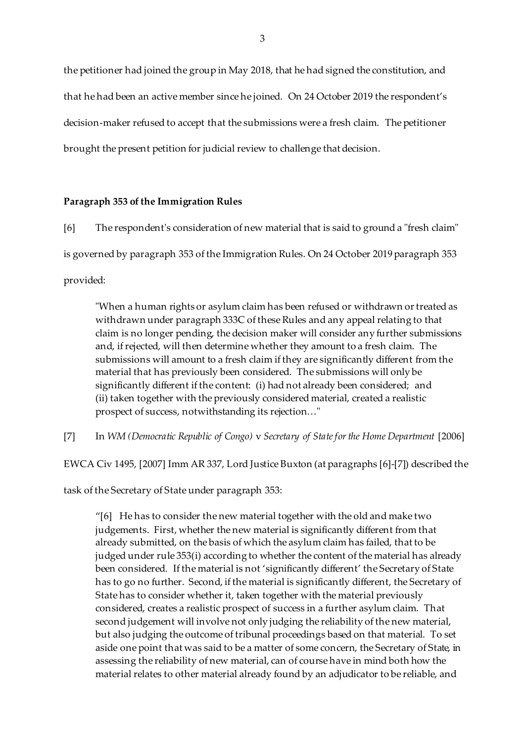the petitioner had joined the group in May 2018, that he had signed the constitution, and that he had been an active member since he joined. On 24 October 2019 the respondent's decision-maker refused to accept that the submissions were a fresh claim. The petitioner brought the present petition for judicial review to challenge that decision.

### **Paragraph 353 of the Immigration Rules**

[6] The respondent's consideration of new material that is said to ground a "fresh claim" is governed by paragraph 353 of the Immigration Rules. On 24 October 2019 paragraph 353 provided:

"When a human rights or asylum claim has been refused or withdrawn or treated as withdrawn under paragraph 333C of these Rules and any appeal relating to that claim is no longer pending, the decision maker will consider any further submissions and, if rejected, will then determine whether they amount to a fresh claim. The submissions will amount to a fresh claim if they are significantly different from the material that has previously been considered. The submissions will only be significantly different if the content: (i) had not already been considered; and (ii) taken together with the previously considered material, created a realistic prospect of success, notwithstanding its rejection…"

[7] In *WM (Democratic Republic of Congo)* v *Secretary of State for the Home Department* [2006]

EWCA Civ 1495, [2007] Imm AR 337, Lord Justice Buxton (at paragraphs [6]-[7]) described the

task of the Secretary of State under paragraph 353:

"[6] He has to consider the new material together with the old and make two judgements. First, whether the new material is significantly different from that already submitted, on the basis of which the asylum claim has failed, that to be judged under rule 353(i) according to whether the content of the material has already been considered. If the material is not 'significantly different' the Secretary of State has to go no further. Second, if the material is significantly different, the Secretary of State has to consider whether it, taken together with the material previously considered, creates a realistic prospect of success in a further asylum claim. That second judgement will involve not only judging the reliability of the new material, but also judging the outcome of tribunal proceedings based on that material. To set aside one point that was said to be a matter of some concern, the Secretary of State, in assessing the reliability of new material, can of course have in mind both how the material relates to other material already found by an adjudicator to be reliable, and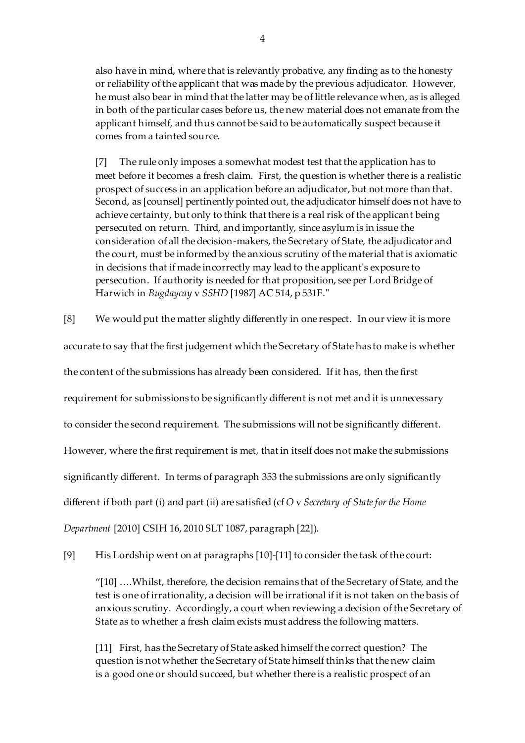also have in mind, where that is relevantly probative, any finding as to the honesty or reliability of the applicant that was made by the previous adjudicator. However, he must also bear in mind that the latter may be of little relevance when, as is alleged in both of the particular cases before us, the new material does not emanate from the applicant himself, and thus cannot be said to be automatically suspect because it comes from a tainted source.

[7] The rule only imposes a somewhat modest test that the application has to meet before it becomes a fresh claim. First, the question is whether there is a realistic prospect of success in an application before an adjudicator, but not more than that. Second, as [counsel] pertinently pointed out, the adjudicator himself does not have to achieve certainty, but only to think that there is a real risk of the applicant being persecuted on return. Third, and importantly, since asylum is in issue the consideration of all the decision-makers, the Secretary of State, the adjudicator and the court, must be informed by the anxious scrutiny of the material that is axiomatic in decisions that if made incorrectly may lead to the applicant's exposure to persecution. If authority is needed for that proposition, see per Lord Bridge of Harwich in *Bugdaycay* v *SSHD* [1987] AC 514, p 531F."

[8] We would put the matter slightly differently in one respect. In our view it is more

accurate to say that the first judgement which the Secretary of State has to make is whether

the content of the submissions has already been considered. If it has, then the first

requirement for submissions to be significantly different is not met and it is unnecessary

to consider the second requirement. The submissions will not be significantly different.

However, where the first requirement is met, that in itself does not make the submissions

significantly different. In terms of paragraph 353 the submissions are only significantly

different if both part (i) and part (ii) are satisfied (cf *O* v *Secretary of State for the Home* 

*Department* [2010] CSIH 16, 2010 SLT 1087, paragraph [22]).

[9] His Lordship went on at paragraphs [10]-[11] to consider the task of the court:

"[10] ….Whilst, therefore, the decision remains that of the Secretary of State, and the test is one of irrationality, a decision will be irrational if it is not taken on the basis of anxious scrutiny. Accordingly, a court when reviewing a decision of the Secretary of State as to whether a fresh claim exists must address the following matters.

[11] First, has the Secretary of State asked himself the correct question? The question is not whether the Secretary of State himself thinks that the new claim is a good one or should succeed, but whether there is a realistic prospect of an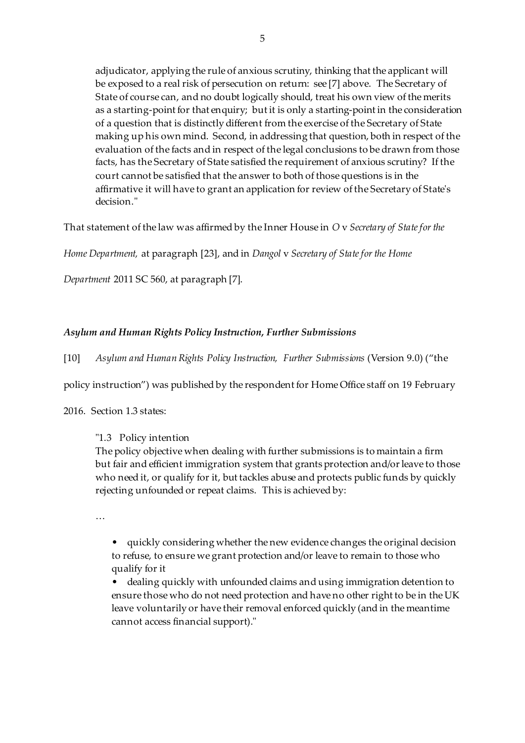adjudicator, applying the rule of anxious scrutiny, thinking that the applicant will be exposed to a real risk of persecution on return: see [7] above. The Secretary of State of course can, and no doubt logically should, treat his own view of the merits as a starting-point for that enquiry; but it is only a starting-point in the consideration of a question that is distinctly different from the exercise of the Secretary of State making up his own mind. Second, in addressing that question, both in respect of the evaluation of the facts and in respect of the legal conclusions to be drawn from those facts, has the Secretary of State satisfied the requirement of anxious scrutiny? If the court cannot be satisfied that the answer to both of those questions is in the affirmative it will have to grant an application for review of the Secretary of State's decision."

That statement of the law was affirmed by the Inner House in *O* v *Secretary of State for the* 

*Home Department,* at paragraph [23], and in *Dangol* v *Secretary of State for the Home* 

*Department* 2011 SC 560, at paragraph [7].

## *Asylum and Human Rights Policy Instruction, Further Submissions*

[10] *Asylum and Human Rights Policy Instruction, Further Submissions* (Version 9.0) ("the

policy instruction") was published by the respondent for Home Office staff on 19 February

2016. Section 1.3 states:

## "1.3 Policy intention

The policy objective when dealing with further submissions is to maintain a firm but fair and efficient immigration system that grants protection and/or leave to those who need it, or qualify for it, but tackles abuse and protects public funds by quickly rejecting unfounded or repeat claims. This is achieved by:

…

• quickly considering whether the new evidence changes the original decision to refuse, to ensure we grant protection and/or leave to remain to those who qualify for it

• dealing quickly with unfounded claims and using immigration detention to ensure those who do not need protection and have no other right to be in the UK leave voluntarily or have their removal enforced quickly (and in the meantime cannot access financial support)."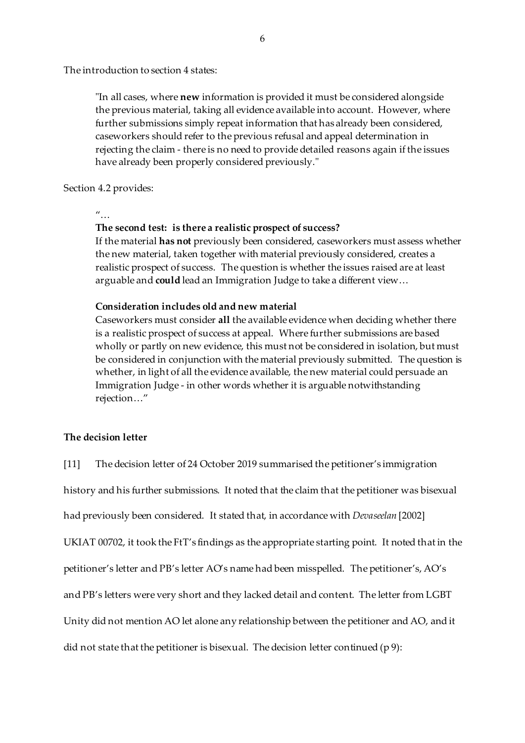The introduction to section 4 states:

"In all cases, where **new** information is provided it must be considered alongside the previous material, taking all evidence available into account. However, where further submissions simply repeat information that has already been considered, caseworkers should refer to the previous refusal and appeal determination in rejecting the claim - there is no need to provide detailed reasons again if the issues have already been properly considered previously."

### Section 4.2 provides:

 $\mu$ 

## **The second test: is there a realistic prospect of success?**

If the material **has not** previously been considered, caseworkers must assess whether the new material, taken together with material previously considered, creates a realistic prospect of success. The question is whether the issues raised are at least arguable and **could** lead an Immigration Judge to take a different view…

## **Consideration includes old and new material**

Caseworkers must consider **all** the available evidence when deciding whether there is a realistic prospect of success at appeal. Where further submissions are based wholly or partly on new evidence, this must not be considered in isolation, but must be considered in conjunction with the material previously submitted. The question is whether, in light of all the evidence available, the new material could persuade an Immigration Judge - in other words whether it is arguable notwithstanding rejection…"

### **The decision letter**

[11] The decision letter of 24 October 2019 summarised the petitioner's immigration

history and his further submissions. It noted that the claim that the petitioner was bisexual

had previously been considered. It stated that, in accordance with *Devaseelan* [2002]

UKIAT 00702, it took the FtT's findings as the appropriate starting point. It noted that in the

petitioner's letter and PB's letter AO's name had been misspelled. The petitioner's, AO's

and PB's letters were very short and they lacked detail and content. The letter from LGBT

Unity did not mention AO let alone any relationship between the petitioner and AO, and it

did not state that the petitioner is bisexual. The decision letter continued (p 9):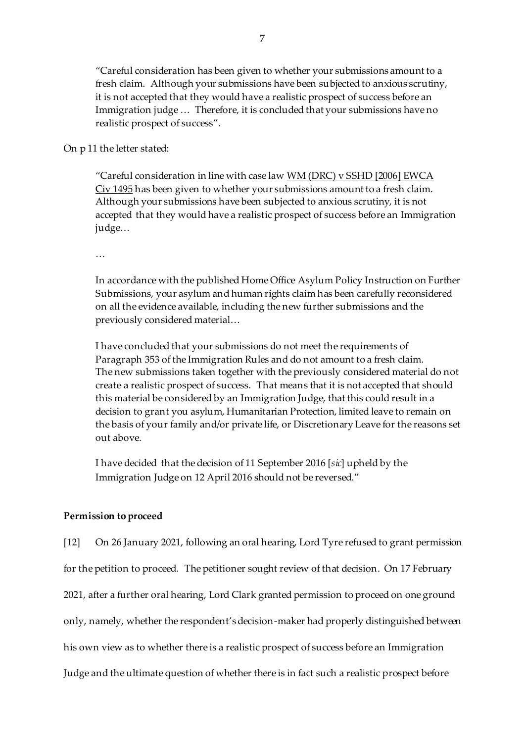"Careful consideration has been given to whether your submissions amount to a fresh claim. Although your submissions have been subjected to anxious scrutiny, it is not accepted that they would have a realistic prospect of success before an Immigration judge … Therefore, it is concluded that your submissions have no realistic prospect of success".

On p 11 the letter stated:

"Careful consideration in line with case law WM (DRC) v SSHD [2006] EWCA Civ 1495 has been given to whether your submissions amount to a fresh claim. Although your submissions have been subjected to anxious scrutiny, it is not accepted that they would have a realistic prospect of success before an Immigration judge…

…

In accordance with the published Home Office Asylum Policy Instruction on Further Submissions, your asylum and human rights claim has been carefully reconsidered on all the evidence available, including the new further submissions and the previously considered material…

I have concluded that your submissions do not meet the requirements of Paragraph 353 of the Immigration Rules and do not amount to a fresh claim. The new submissions taken together with the previously considered material do not create a realistic prospect of success. That means that it is not accepted that should this material be considered by an Immigration Judge, that this could result in a decision to grant you asylum, Humanitarian Protection, limited leave to remain on the basis of your family and/or private life, or Discretionary Leave for the reasons set out above.

I have decided that the decision of 11 September 2016 [*sic*] upheld by the Immigration Judge on 12 April 2016 should not be reversed."

## **Permission to proceed**

[12] On 26 January 2021, following an oral hearing, Lord Tyre refused to grant permission

for the petition to proceed. The petitioner sought review of that decision. On 17 February

2021, after a further oral hearing, Lord Clark granted permission to proceed on one ground

only, namely, whether the respondent's decision-maker had properly distinguished between

his own view as to whether there is a realistic prospect of success before an Immigration

Judge and the ultimate question of whether there is in fact such a realistic prospect before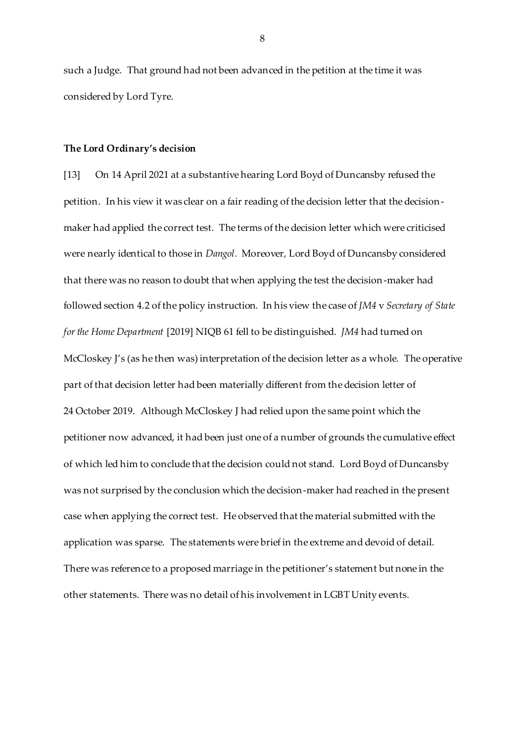such a Judge. That ground had not been advanced in the petition at the time it was considered by Lord Tyre.

#### **The Lord Ordinary's decision**

[13] On 14 April 2021 at a substantive hearing Lord Boyd of Duncansby refused the petition. In his view it was clear on a fair reading of the decision letter that the decisionmaker had applied the correct test. The terms of the decision letter which were criticised were nearly identical to those in *Dangol*. Moreover, Lord Boyd of Duncansby considered that there was no reason to doubt that when applying the test the decision-maker had followed section 4.2 of the policy instruction. In his view the case of *JM4* v *Secretary of State for the Home Department* [2019] NIQB 61 fell to be distinguished. *JM4* had turned on McCloskey J's (as he then was) interpretation of the decision letter as a whole. The operative part of that decision letter had been materially different from the decision letter of 24 October 2019. Although McCloskey J had relied upon the same point which the petitioner now advanced, it had been just one of a number of grounds the cumulative effect of which led him to conclude that the decision could not stand. Lord Boyd of Duncansby was not surprised by the conclusion which the decision-maker had reached in the present case when applying the correct test. He observed that the material submitted with the application was sparse. The statements were brief in the extreme and devoid of detail. There was reference to a proposed marriage in the petitioner's statement but none in the other statements. There was no detail of his involvement in LGBT Unity events.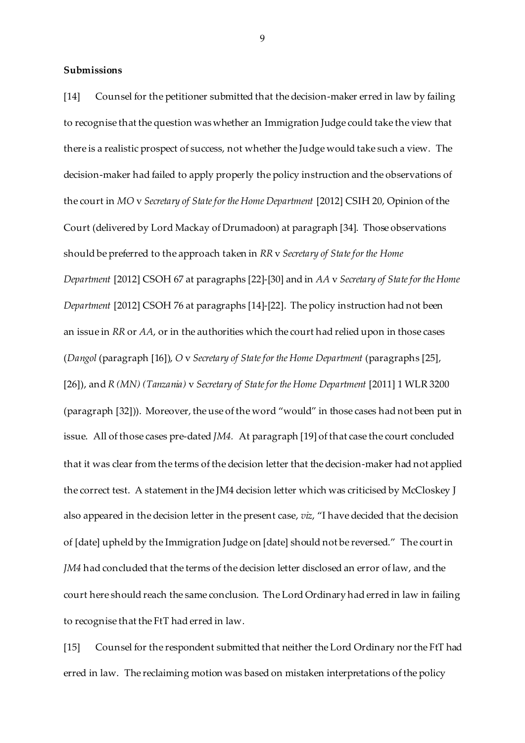#### **Submissions**

[14] Counsel for the petitioner submitted that the decision-maker erred in law by failing to recognise that the question was whether an Immigration Judge could take the view that there is a realistic prospect of success, not whether the Judge would take such a view. The decision-maker had failed to apply properly the policy instruction and the observations of the court in *MO* v *Secretary of State for the Home Department* [2012] CSIH 20, Opinion of the Court (delivered by Lord Mackay of Drumadoon) at paragraph [34]. Those observations should be preferred to the approach taken in *RR* v *Secretary of State for the Home Department* [2012] CSOH 67 at paragraphs [22]-[30] and in *AA* v *Secretary of State for the Home Department* [2012] CSOH 76 at paragraphs [14]-[22]. The policy instruction had not been an issue in *RR* or *AA*, or in the authorities which the court had relied upon in those cases (*Dangol* (paragraph [16]), *O* v *Secretary of State for the Home Department* (paragraphs [25], [26]), and *R (MN) (Tanzania)* v *Secretary of State for the Home Department* [2011] 1 WLR 3200 (paragraph [32])). Moreover, the use of the word "would" in those cases had not been put in issue. All of those cases pre-dated *JM4.* At paragraph [19] of that case the court concluded that it was clear from the terms of the decision letter that the decision-maker had not applied the correct test. A statement in the JM4 decision letter which was criticised by McCloskey J also appeared in the decision letter in the present case, *viz*, "I have decided that the decision of [date] upheld by the Immigration Judge on [date] should not be reversed." The court in *JM4* had concluded that the terms of the decision letter disclosed an error of law, and the court here should reach the same conclusion. The Lord Ordinary had erred in law in failing to recognise that the FtT had erred in law.

[15] Counsel for the respondent submitted that neither the Lord Ordinary nor the FtT had erred in law. The reclaiming motion was based on mistaken interpretations of the policy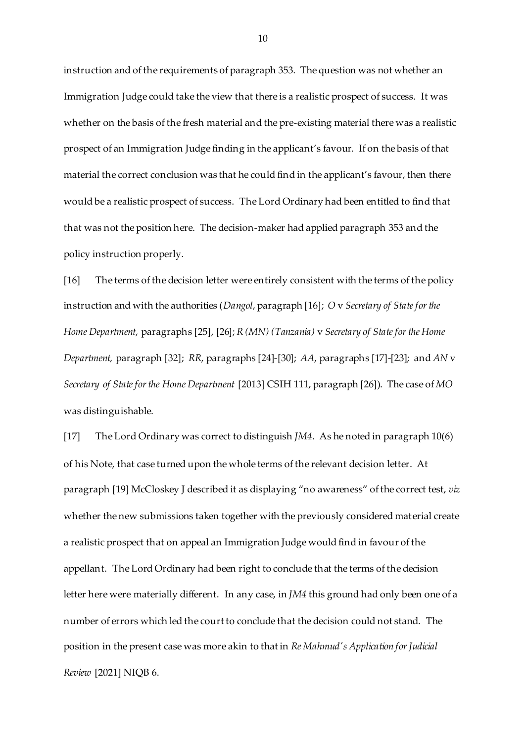instruction and of the requirements of paragraph 353. The question was not whether an Immigration Judge could take the view that there is a realistic prospect of success. It was whether on the basis of the fresh material and the pre-existing material there was a realistic prospect of an Immigration Judge finding in the applicant's favour. If on the basis of that material the correct conclusion was that he could find in the applicant's favour, then there would be a realistic prospect of success. The Lord Ordinary had been entitled to find that that was not the position here. The decision-maker had applied paragraph 353 and the policy instruction properly.

[16] The terms of the decision letter were entirely consistent with the terms of the policy instruction and with the authorities (*Dangol*, paragraph [16]; *O* v *Secretary of State for the Home Department*, paragraphs [25], [26]; *R (MN) (Tanzania)* v *Secretary of State for the Home Department,* paragraph [32]; *RR*, paragraphs [24]-[30]; *AA*, paragraphs [17]-[23]; and *AN* v *Secretary of State for the Home Department* [2013] CSIH 111, paragraph [26]). The case of *MO* was distinguishable.

[17] The Lord Ordinary was correct to distinguish *JM4*. As he noted in paragraph 10(6) of his Note, that case turned upon the whole terms of the relevant decision letter. At paragraph [19] McCloskey J described it as displaying "no awareness" of the correct test, *viz* whether the new submissions taken together with the previously considered material create a realistic prospect that on appeal an Immigration Judge would find in favour of the appellant. The Lord Ordinary had been right to conclude that the terms of the decision letter here were materially different. In any case, in *JM4* this ground had only been one of a number of errors which led the court to conclude that the decision could not stand. The position in the present case was more akin to that in *Re Mahmud's Application for Judicial Review* [2021] NIQB 6.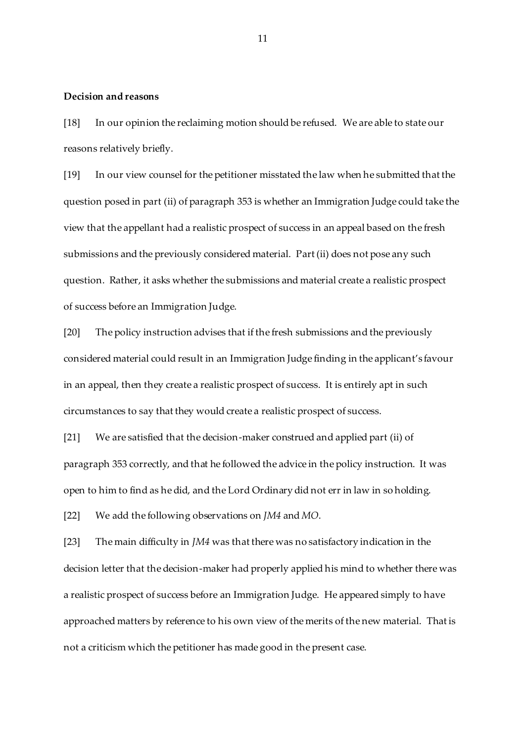#### **Decision and reasons**

[18] In our opinion the reclaiming motion should be refused. We are able to state our reasons relatively briefly.

[19] In our view counsel for the petitioner misstated the law when he submitted that the question posed in part (ii) of paragraph 353 is whether an Immigration Judge could take the view that the appellant had a realistic prospect of success in an appeal based on the fresh submissions and the previously considered material. Part (ii) does not pose any such question. Rather, it asks whether the submissions and material create a realistic prospect of success before an Immigration Judge.

[20] The policy instruction advises that if the fresh submissions and the previously considered material could result in an Immigration Judge finding in the applicant's favour in an appeal, then they create a realistic prospect of success. It is entirely apt in such circumstances to say that they would create a realistic prospect of success.

[21] We are satisfied that the decision-maker construed and applied part (ii) of paragraph 353 correctly, and that he followed the advice in the policy instruction. It was open to him to find as he did, and the Lord Ordinary did not err in law in so holding.

[22] We add the following observations on *JM4* and *MO*.

[23] The main difficulty in *JM4* was that there was no satisfactory indication in the decision letter that the decision-maker had properly applied his mind to whether there was a realistic prospect of success before an Immigration Judge. He appeared simply to have approached matters by reference to his own view of the merits of the new material. That is not a criticism which the petitioner has made good in the present case.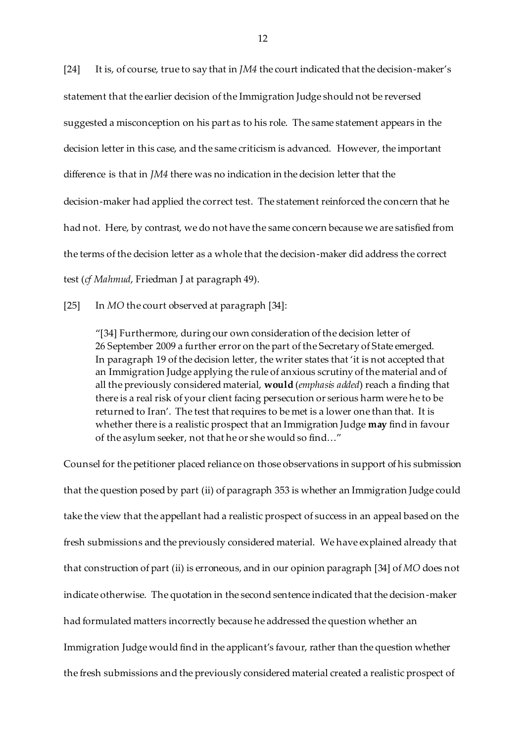[24] It is, of course, true to say that in *JM4* the court indicated that the decision-maker's statement that the earlier decision of the Immigration Judge should not be reversed suggested a misconception on his part as to his role. The same statement appears in the decision letter in this case, and the same criticism is advanced. However, the important difference is that in *JM4* there was no indication in the decision letter that the decision-maker had applied the correct test. The statement reinforced the concern that he had not. Here, by contrast, we do not have the same concern because we are satisfied from the terms of the decision letter as a whole that the decision-maker did address the correct test (*cf Mahmud*, Friedman J at paragraph 49).

[25] In *MO* the court observed at paragraph [34]:

"[34] Furthermore, during our own consideration of the decision letter of 26 September 2009 a further error on the part of the Secretary of State emerged. In paragraph 19 of the decision letter, the writer states that 'it is not accepted that an Immigration Judge applying the rule of anxious scrutiny of the material and of all the previously considered material, **would** (*emphasis added*) reach a finding that there is a real risk of your client facing persecution or serious harm were he to be returned to Iran'. The test that requires to be met is a lower one than that. It is whether there is a realistic prospect that an Immigration Judge **may** find in favour of the asylum seeker, not that he or she would so find…"

Counsel for the petitioner placed reliance on those observations in support of his submission that the question posed by part (ii) of paragraph 353 is whether an Immigration Judge could take the view that the appellant had a realistic prospect of success in an appeal based on the fresh submissions and the previously considered material. We have explained already that that construction of part (ii) is erroneous, and in our opinion paragraph [34] of *MO* does not indicate otherwise. The quotation in the second sentence indicated that the decision-maker had formulated matters incorrectly because he addressed the question whether an Immigration Judge would find in the applicant's favour, rather than the question whether the fresh submissions and the previously considered material created a realistic prospect of